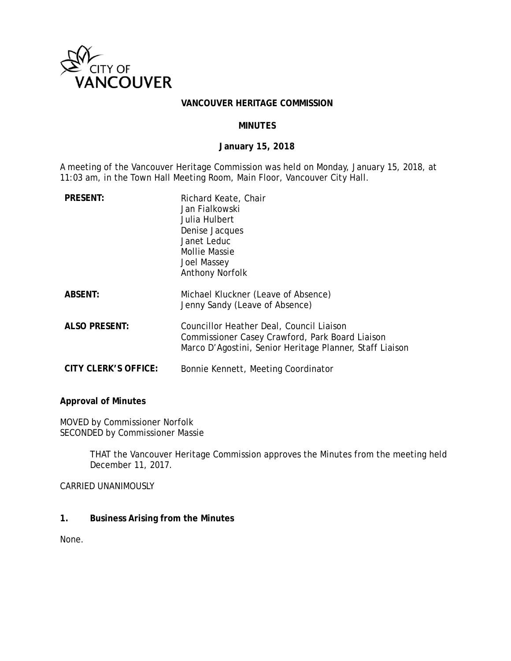

### **VANCOUVER HERITAGE COMMISSION**

### **MINUTES**

### **January 15, 2018**

A meeting of the Vancouver Heritage Commission was held on Monday, January 15, 2018, at 11:03 am, in the Town Hall Meeting Room, Main Floor, Vancouver City Hall.

| <b>PRESENT:</b>      | Richard Keate, Chair<br>Jan Fialkowski<br>Julia Hulbert<br>Denise Jacques<br>Janet Leduc<br><b>Mollie Massie</b><br><b>Joel Massey</b><br><b>Anthony Norfolk</b> |
|----------------------|------------------------------------------------------------------------------------------------------------------------------------------------------------------|
| <b>ABSENT:</b>       | Michael Kluckner (Leave of Absence)<br>Jenny Sandy (Leave of Absence)                                                                                            |
| <b>ALSO PRESENT:</b> | Councillor Heather Deal, Council Liaison<br>Commissioner Casey Crawford, Park Board Liaison<br>Marco D'Agostini, Senior Heritage Planner, Staff Liaison          |
| CITY CLERK'S OFFICE: | Bonnie Kennett, Meeting Coordinator                                                                                                                              |

#### **Approval of Minutes**

MOVED by Commissioner Norfolk SECONDED by Commissioner Massie

> THAT the Vancouver Heritage Commission approves the Minutes from the meeting held December 11, 2017.

CARRIED UNANIMOUSLY

**1. Business Arising from the Minutes** 

None.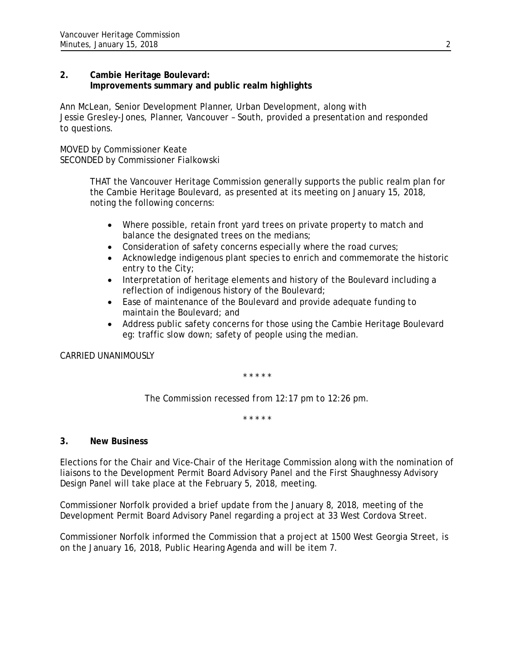## **2. Cambie Heritage Boulevard: Improvements summary and public realm highlights**

Ann McLean, Senior Development Planner, Urban Development, along with Jessie Gresley-Jones, Planner, Vancouver – South, provided a presentation and responded to questions.

MOVED by Commissioner Keate SECONDED by Commissioner Fialkowski

> THAT the Vancouver Heritage Commission generally supports the public realm plan for the Cambie Heritage Boulevard, as presented at its meeting on January 15, 2018, noting the following concerns:

- Where possible, retain front yard trees on private property to match and balance the designated trees on the medians;
- Consideration of safety concerns especially where the road curves;
- Acknowledge indigenous plant species to enrich and commemorate the historic entry to the City;
- Interpretation of heritage elements and history of the Boulevard including a reflection of indigenous history of the Boulevard;
- Ease of maintenance of the Boulevard and provide adequate funding to maintain the Boulevard; and
- Address public safety concerns for those using the Cambie Heritage Boulevard eg: traffic slow down; safety of people using the median.

CARRIED UNANIMOUSLY

\* \* \* \* \*

*The Commission recessed from 12:17 pm to 12:26 pm.* 

\* \* \* \* \*

# **3. New Business**

Elections for the Chair and Vice-Chair of the Heritage Commission along with the nomination of liaisons to the Development Permit Board Advisory Panel and the First Shaughnessy Advisory Design Panel will take place at the February 5, 2018, meeting.

Commissioner Norfolk provided a brief update from the January 8, 2018, meeting of the Development Permit Board Advisory Panel regarding a project at 33 West Cordova Street.

Commissioner Norfolk informed the Commission that a project at 1500 West Georgia Street, is on the January 16, 2018, Public Hearing Agenda and will be item 7.